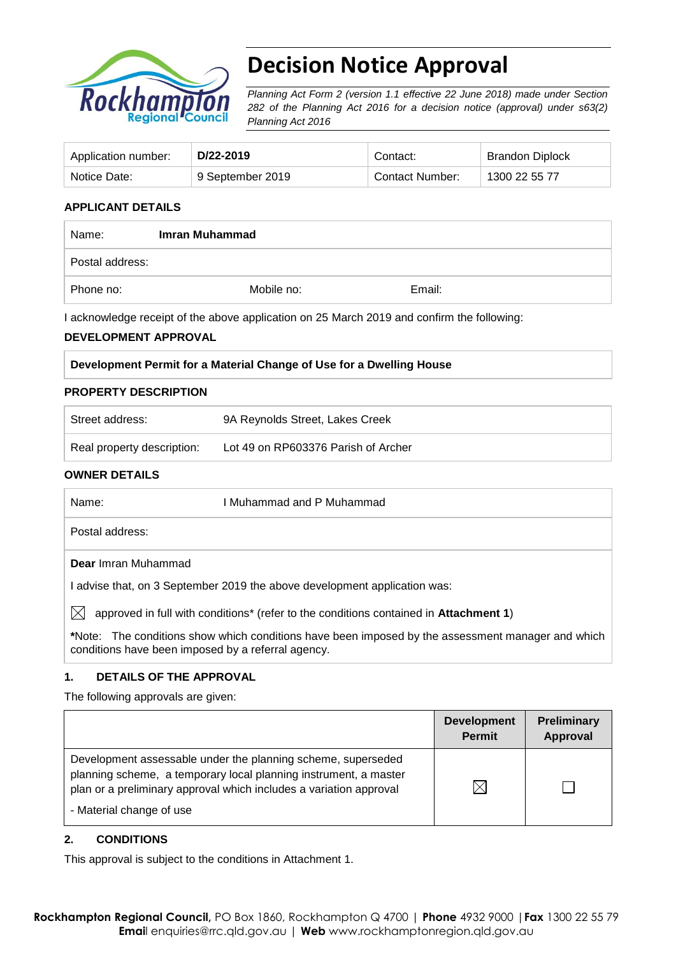

# **Decision Notice Approval**

*Planning Act Form 2 (version 1.1 effective 22 June 2018) made under Section 282 of the Planning Act 2016 for a decision notice (approval) under s63(2) Planning Act 2016*

| Application number: | D/22-2019        | Contact:        | <b>Brandon Diplock</b> |
|---------------------|------------------|-----------------|------------------------|
| Notice Date:        | 9 September 2019 | Contact Number: | 1300 22 55 77          |

#### **APPLICANT DETAILS**

| Name:           | Imran Muhammad |        |  |
|-----------------|----------------|--------|--|
| Postal address: |                |        |  |
| Phone no:       | Mobile no:     | Email: |  |

I acknowledge receipt of the above application on 25 March 2019 and confirm the following:

#### **DEVELOPMENT APPROVAL**

| Development Permit for a Material Change of Use for a Dwelling House |  |
|----------------------------------------------------------------------|--|
|                                                                      |  |

#### **PROPERTY DESCRIPTION**

| Street address:            | 9A Reynolds Street, Lakes Creek     |
|----------------------------|-------------------------------------|
| Real property description: | Lot 49 on RP603376 Parish of Archer |

#### **OWNER DETAILS**

| Name:                                              | I Muhammad and P Muhammad.                                                                                |
|----------------------------------------------------|-----------------------------------------------------------------------------------------------------------|
| Postal address:                                    |                                                                                                           |
| <b>Dear</b> Imran Muhammad                         |                                                                                                           |
|                                                    | I advise that, on 3 September 2019 the above development application was:                                 |
| IXI                                                | approved in full with conditions <sup>*</sup> (refer to the conditions contained in <b>Attachment 1</b> ) |
| conditions have been imposed by a referral agency. | *Note: The conditions show which conditions have been imposed by the assessment manager and which         |

#### **1. DETAILS OF THE APPROVAL**

The following approvals are given:

|                                                                                                                                                                                                                                    | <b>Development</b><br><b>Permit</b> | Preliminary<br>Approval |
|------------------------------------------------------------------------------------------------------------------------------------------------------------------------------------------------------------------------------------|-------------------------------------|-------------------------|
| Development assessable under the planning scheme, superseded<br>planning scheme, a temporary local planning instrument, a master<br>plan or a preliminary approval which includes a variation approval<br>- Material change of use | $\boxtimes$                         |                         |

#### **2. CONDITIONS**

This approval is subject to the conditions in Attachment 1.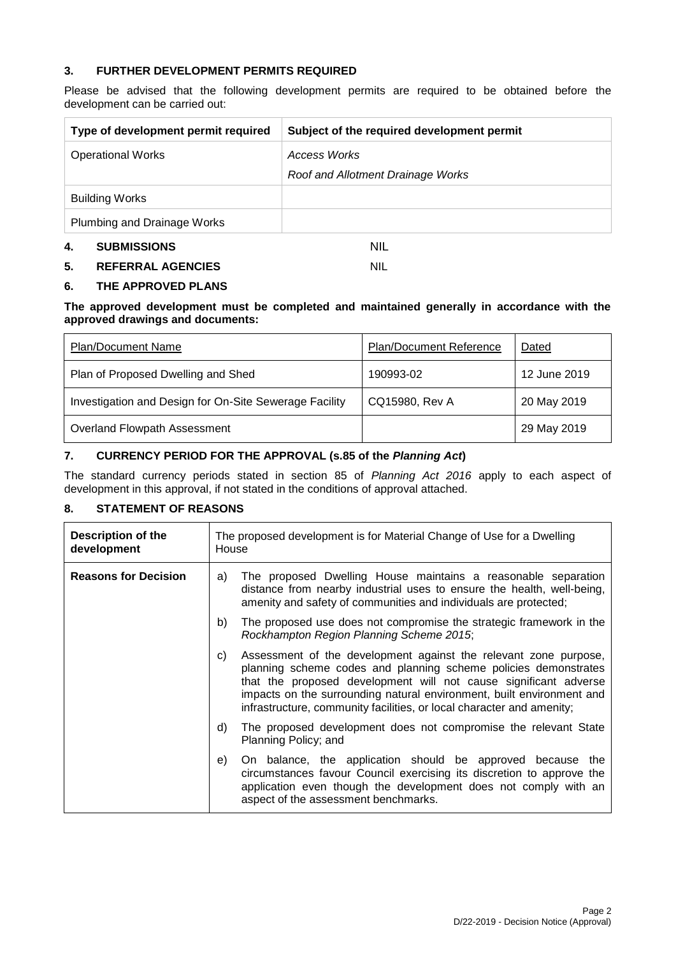#### **3. FURTHER DEVELOPMENT PERMITS REQUIRED**

Please be advised that the following development permits are required to be obtained before the development can be carried out:

| Type of development permit required | Subject of the required development permit |
|-------------------------------------|--------------------------------------------|
| <b>Operational Works</b>            | Access Works                               |
|                                     | Roof and Allotment Drainage Works          |
| <b>Building Works</b>               |                                            |
| Plumbing and Drainage Works         |                                            |
| <b>SUBMISSIONS</b><br>4.            | nil                                        |

#### **5. REFERRAL AGENCIES** NIL

#### **6. THE APPROVED PLANS**

#### **The approved development must be completed and maintained generally in accordance with the approved drawings and documents:**

| <b>Plan/Document Name</b>                              | Plan/Document Reference | Dated        |
|--------------------------------------------------------|-------------------------|--------------|
| Plan of Proposed Dwelling and Shed                     | 190993-02               | 12 June 2019 |
| Investigation and Design for On-Site Sewerage Facility | CQ15980, Rev A          | 20 May 2019  |
| Overland Flowpath Assessment                           |                         | 29 May 2019  |

#### **7. CURRENCY PERIOD FOR THE APPROVAL (s.85 of the** *Planning Act***)**

The standard currency periods stated in section 85 of *Planning Act 2016* apply to each aspect of development in this approval, if not stated in the conditions of approval attached.

#### **8. STATEMENT OF REASONS**

| <b>Description of the</b><br>development | The proposed development is for Material Change of Use for a Dwelling<br>House                                                                                                                                                                                                                                                                                  |  |
|------------------------------------------|-----------------------------------------------------------------------------------------------------------------------------------------------------------------------------------------------------------------------------------------------------------------------------------------------------------------------------------------------------------------|--|
| <b>Reasons for Decision</b>              | The proposed Dwelling House maintains a reasonable separation<br>a)<br>distance from nearby industrial uses to ensure the health, well-being,<br>amenity and safety of communities and individuals are protected;                                                                                                                                               |  |
|                                          | The proposed use does not compromise the strategic framework in the<br>b)<br>Rockhampton Region Planning Scheme 2015;                                                                                                                                                                                                                                           |  |
|                                          | Assessment of the development against the relevant zone purpose,<br>C)<br>planning scheme codes and planning scheme policies demonstrates<br>that the proposed development will not cause significant adverse<br>impacts on the surrounding natural environment, built environment and<br>infrastructure, community facilities, or local character and amenity; |  |
|                                          | The proposed development does not compromise the relevant State<br>d)<br>Planning Policy; and                                                                                                                                                                                                                                                                   |  |
|                                          | On balance, the application should be approved because the<br>e)<br>circumstances favour Council exercising its discretion to approve the<br>application even though the development does not comply with an<br>aspect of the assessment benchmarks.                                                                                                            |  |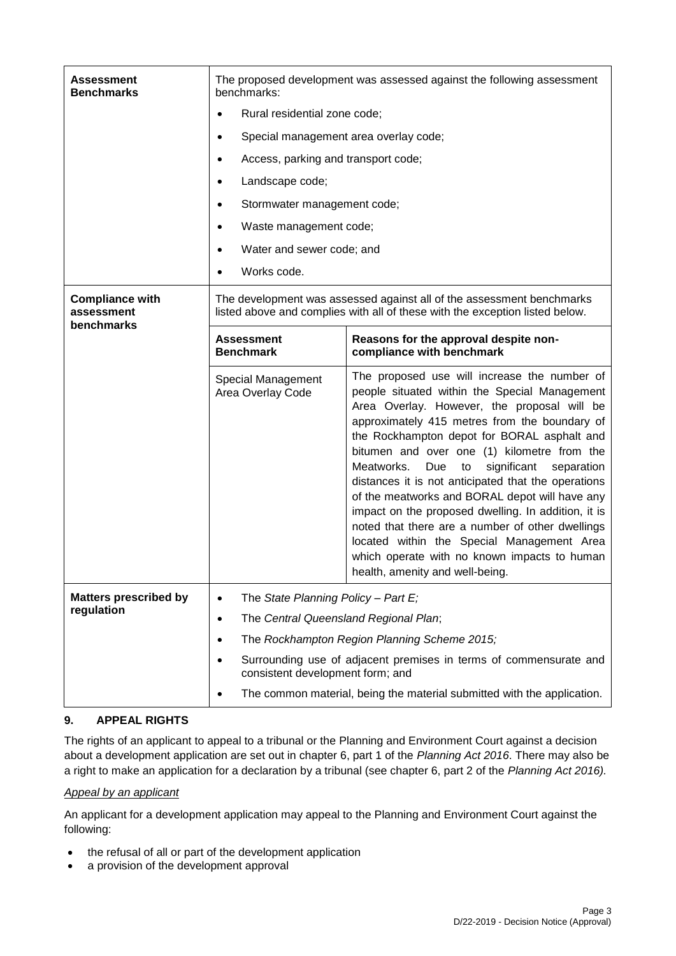| Assessment<br><b>Benchmarks</b>                    | The proposed development was assessed against the following assessment<br>benchmarks:                 |                                                                                                                                                                                                                                                                                                                                                                                                                                                                                                                                                                                                                                                                                                          |  |  |
|----------------------------------------------------|-------------------------------------------------------------------------------------------------------|----------------------------------------------------------------------------------------------------------------------------------------------------------------------------------------------------------------------------------------------------------------------------------------------------------------------------------------------------------------------------------------------------------------------------------------------------------------------------------------------------------------------------------------------------------------------------------------------------------------------------------------------------------------------------------------------------------|--|--|
|                                                    | Rural residential zone code;                                                                          |                                                                                                                                                                                                                                                                                                                                                                                                                                                                                                                                                                                                                                                                                                          |  |  |
|                                                    | Special management area overlay code;<br>٠                                                            |                                                                                                                                                                                                                                                                                                                                                                                                                                                                                                                                                                                                                                                                                                          |  |  |
|                                                    | Access, parking and transport code;                                                                   |                                                                                                                                                                                                                                                                                                                                                                                                                                                                                                                                                                                                                                                                                                          |  |  |
|                                                    | Landscape code;<br>$\bullet$                                                                          |                                                                                                                                                                                                                                                                                                                                                                                                                                                                                                                                                                                                                                                                                                          |  |  |
|                                                    | Stormwater management code;<br>٠                                                                      |                                                                                                                                                                                                                                                                                                                                                                                                                                                                                                                                                                                                                                                                                                          |  |  |
|                                                    | Waste management code;                                                                                |                                                                                                                                                                                                                                                                                                                                                                                                                                                                                                                                                                                                                                                                                                          |  |  |
|                                                    | Water and sewer code; and<br>$\bullet$                                                                |                                                                                                                                                                                                                                                                                                                                                                                                                                                                                                                                                                                                                                                                                                          |  |  |
|                                                    | Works code.                                                                                           |                                                                                                                                                                                                                                                                                                                                                                                                                                                                                                                                                                                                                                                                                                          |  |  |
| <b>Compliance with</b><br>assessment<br>benchmarks |                                                                                                       | The development was assessed against all of the assessment benchmarks<br>listed above and complies with all of these with the exception listed below.                                                                                                                                                                                                                                                                                                                                                                                                                                                                                                                                                    |  |  |
|                                                    | <b>Assessment</b><br><b>Benchmark</b>                                                                 | Reasons for the approval despite non-<br>compliance with benchmark                                                                                                                                                                                                                                                                                                                                                                                                                                                                                                                                                                                                                                       |  |  |
|                                                    | Special Management<br>Area Overlay Code                                                               | The proposed use will increase the number of<br>people situated within the Special Management<br>Area Overlay. However, the proposal will be<br>approximately 415 metres from the boundary of<br>the Rockhampton depot for BORAL asphalt and<br>bitumen and over one (1) kilometre from the<br>Meatworks.<br>significant<br>Due<br>to<br>separation<br>distances it is not anticipated that the operations<br>of the meatworks and BORAL depot will have any<br>impact on the proposed dwelling. In addition, it is<br>noted that there are a number of other dwellings<br>located within the Special Management Area<br>which operate with no known impacts to human<br>health, amenity and well-being. |  |  |
| <b>Matters prescribed by</b><br>regulation         | The State Planning Policy - Part E;<br>$\bullet$                                                      |                                                                                                                                                                                                                                                                                                                                                                                                                                                                                                                                                                                                                                                                                                          |  |  |
|                                                    | The Central Queensland Regional Plan;<br>٠                                                            |                                                                                                                                                                                                                                                                                                                                                                                                                                                                                                                                                                                                                                                                                                          |  |  |
|                                                    | The Rockhampton Region Planning Scheme 2015;<br>٠                                                     |                                                                                                                                                                                                                                                                                                                                                                                                                                                                                                                                                                                                                                                                                                          |  |  |
|                                                    | Surrounding use of adjacent premises in terms of commensurate and<br>consistent development form; and |                                                                                                                                                                                                                                                                                                                                                                                                                                                                                                                                                                                                                                                                                                          |  |  |
|                                                    | The common material, being the material submitted with the application.<br>٠                          |                                                                                                                                                                                                                                                                                                                                                                                                                                                                                                                                                                                                                                                                                                          |  |  |

## **9. APPEAL RIGHTS**

The rights of an applicant to appeal to a tribunal or the Planning and Environment Court against a decision about a development application are set out in chapter 6, part 1 of the *Planning Act 2016*. There may also be a right to make an application for a declaration by a tribunal (see chapter 6, part 2 of the *Planning Act 2016).*

## *Appeal by an applicant*

An applicant for a development application may appeal to the Planning and Environment Court against the following:

- the refusal of all or part of the development application
- a provision of the development approval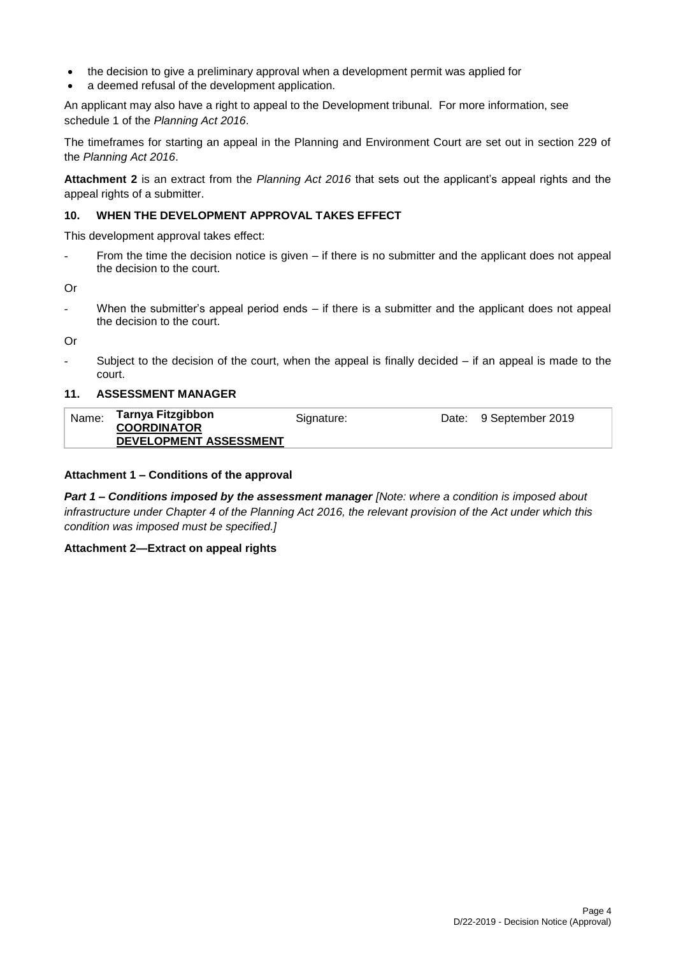- the decision to give a preliminary approval when a development permit was applied for
- a deemed refusal of the development application.

An applicant may also have a right to appeal to the Development tribunal. For more information, see schedule 1 of the *Planning Act 2016*.

The timeframes for starting an appeal in the Planning and Environment Court are set out in section 229 of the *Planning Act 2016*.

**Attachment 2** is an extract from the *Planning Act 2016* that sets out the applicant's appeal rights and the appeal rights of a submitter.

#### **10. WHEN THE DEVELOPMENT APPROVAL TAKES EFFECT**

This development approval takes effect:

From the time the decision notice is given  $-$  if there is no submitter and the applicant does not appeal the decision to the court.

Or

When the submitter's appeal period ends  $-$  if there is a submitter and the applicant does not appeal the decision to the court.

Or

Subject to the decision of the court, when the appeal is finally decided  $-$  if an appeal is made to the court.

#### **11. ASSESSMENT MANAGER**

| Name: | Tarnya Fitzgibbon<br><b>COORDINATOR</b> | Signature: | Date: 9 September 2019 |
|-------|-----------------------------------------|------------|------------------------|
|       | DEVELOPMENT ASSESSMENT                  |            |                        |

#### **Attachment 1 – Conditions of the approval**

*Part 1* **–** *Conditions imposed by the assessment manager [Note: where a condition is imposed about infrastructure under Chapter 4 of the Planning Act 2016, the relevant provision of the Act under which this condition was imposed must be specified.]*

#### **Attachment 2—Extract on appeal rights**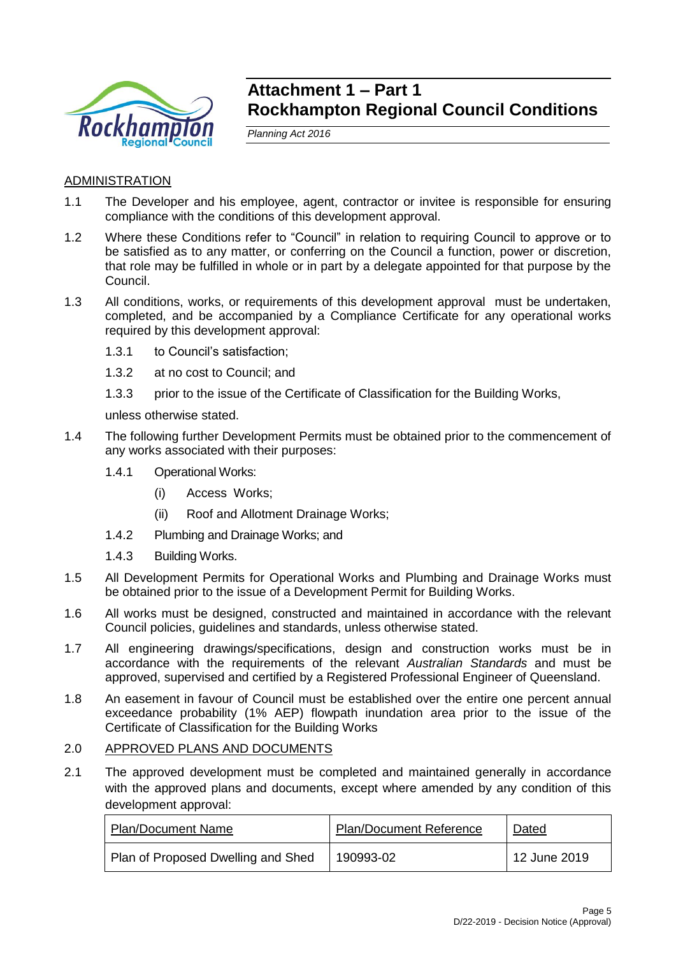

# **Attachment 1 – Part 1 Rockhampton Regional Council Conditions**

*Planning Act 2016*

# ADMINISTRATION

- 1.1 The Developer and his employee, agent, contractor or invitee is responsible for ensuring compliance with the conditions of this development approval.
- 1.2 Where these Conditions refer to "Council" in relation to requiring Council to approve or to be satisfied as to any matter, or conferring on the Council a function, power or discretion, that role may be fulfilled in whole or in part by a delegate appointed for that purpose by the Council.
- 1.3 All conditions, works, or requirements of this development approval must be undertaken, completed, and be accompanied by a Compliance Certificate for any operational works required by this development approval:
	- 1.3.1 to Council's satisfaction;
	- 1.3.2 at no cost to Council; and
	- 1.3.3 prior to the issue of the Certificate of Classification for the Building Works,

unless otherwise stated.

- 1.4 The following further Development Permits must be obtained prior to the commencement of any works associated with their purposes:
	- 1.4.1 Operational Works:
		- (i) Access Works;
		- (ii) Roof and Allotment Drainage Works;
	- 1.4.2 Plumbing and Drainage Works; and
	- 1.4.3 Building Works.
- 1.5 All Development Permits for Operational Works and Plumbing and Drainage Works must be obtained prior to the issue of a Development Permit for Building Works.
- 1.6 All works must be designed, constructed and maintained in accordance with the relevant Council policies, guidelines and standards, unless otherwise stated.
- 1.7 All engineering drawings/specifications, design and construction works must be in accordance with the requirements of the relevant *Australian Standards* and must be approved, supervised and certified by a Registered Professional Engineer of Queensland.
- 1.8 An easement in favour of Council must be established over the entire one percent annual exceedance probability (1% AEP) flowpath inundation area prior to the issue of the Certificate of Classification for the Building Works

#### 2.0 APPROVED PLANS AND DOCUMENTS

2.1 The approved development must be completed and maintained generally in accordance with the approved plans and documents, except where amended by any condition of this development approval:

| <b>Plan/Document Name</b>          | <b>Plan/Document Reference</b> | Dated        |
|------------------------------------|--------------------------------|--------------|
| Plan of Proposed Dwelling and Shed | 190993-02                      | 12 June 2019 |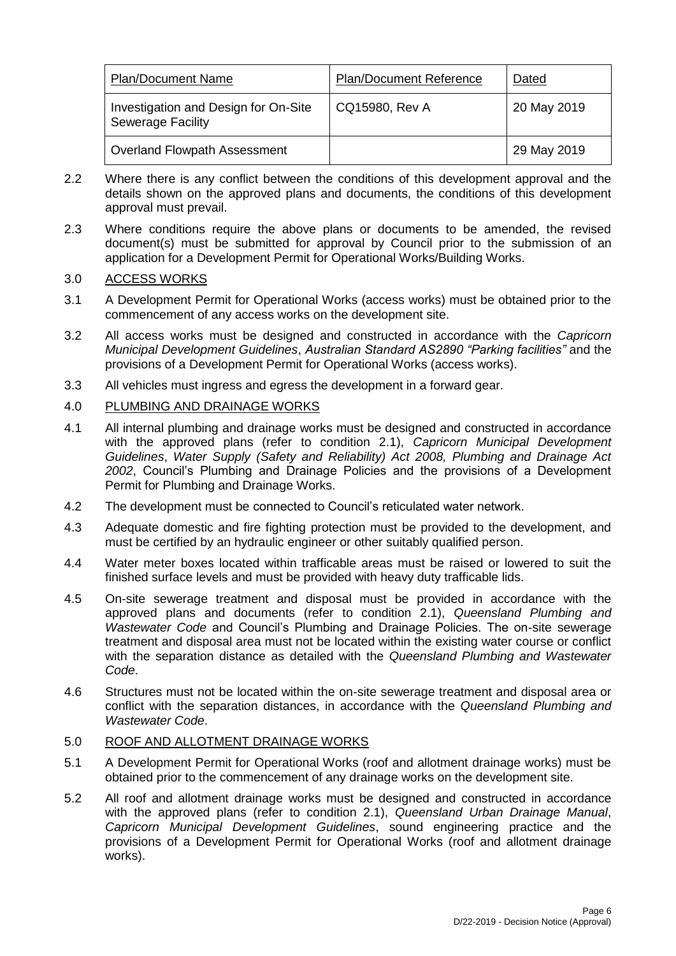| <b>Plan/Document Name</b>                                        | <b>Plan/Document Reference</b> | Dated       |
|------------------------------------------------------------------|--------------------------------|-------------|
| Investigation and Design for On-Site<br><b>Sewerage Facility</b> | CQ15980, Rev A                 | 20 May 2019 |
| <b>Overland Flowpath Assessment</b>                              |                                | 29 May 2019 |

- 2.2 Where there is any conflict between the conditions of this development approval and the details shown on the approved plans and documents, the conditions of this development approval must prevail.
- 2.3 Where conditions require the above plans or documents to be amended, the revised document(s) must be submitted for approval by Council prior to the submission of an application for a Development Permit for Operational Works/Building Works.

# 3.0 ACCESS WORKS

- 3.1 A Development Permit for Operational Works (access works) must be obtained prior to the commencement of any access works on the development site.
- 3.2 All access works must be designed and constructed in accordance with the *Capricorn Municipal Development Guidelines*, *Australian Standard AS2890 "Parking facilities"* and the provisions of a Development Permit for Operational Works (access works).
- 3.3 All vehicles must ingress and egress the development in a forward gear.

# 4.0 PLUMBING AND DRAINAGE WORKS

- 4.1 All internal plumbing and drainage works must be designed and constructed in accordance with the approved plans (refer to condition 2.1), *Capricorn Municipal Development Guidelines*, *Water Supply (Safety and Reliability) Act 2008, Plumbing and Drainage Act 2002*, Council's Plumbing and Drainage Policies and the provisions of a Development Permit for Plumbing and Drainage Works.
- 4.2 The development must be connected to Council's reticulated water network.
- 4.3 Adequate domestic and fire fighting protection must be provided to the development, and must be certified by an hydraulic engineer or other suitably qualified person.
- 4.4 Water meter boxes located within trafficable areas must be raised or lowered to suit the finished surface levels and must be provided with heavy duty trafficable lids.
- 4.5 On-site sewerage treatment and disposal must be provided in accordance with the approved plans and documents (refer to condition 2.1), *Queensland Plumbing and Wastewater Code* and Council's Plumbing and Drainage Policies. The on-site sewerage treatment and disposal area must not be located within the existing water course or conflict with the separation distance as detailed with the *Queensland Plumbing and Wastewater Code*.
- 4.6 Structures must not be located within the on-site sewerage treatment and disposal area or conflict with the separation distances, in accordance with the *Queensland Plumbing and Wastewater Code*.

# 5.0 ROOF AND ALLOTMENT DRAINAGE WORKS

- 5.1 A Development Permit for Operational Works (roof and allotment drainage works) must be obtained prior to the commencement of any drainage works on the development site.
- 5.2 All roof and allotment drainage works must be designed and constructed in accordance with the approved plans (refer to condition 2.1), *Queensland Urban Drainage Manual*, *Capricorn Municipal Development Guidelines*, sound engineering practice and the provisions of a Development Permit for Operational Works (roof and allotment drainage works).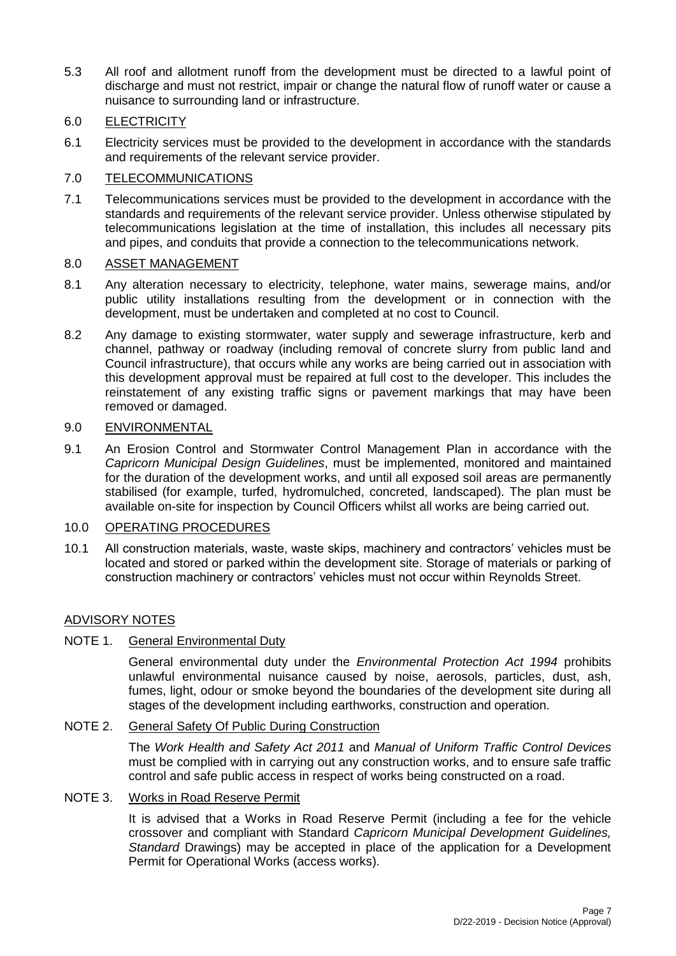5.3 All roof and allotment runoff from the development must be directed to a lawful point of discharge and must not restrict, impair or change the natural flow of runoff water or cause a nuisance to surrounding land or infrastructure.

# 6.0 ELECTRICITY

6.1 Electricity services must be provided to the development in accordance with the standards and requirements of the relevant service provider.

# 7.0 TELECOMMUNICATIONS

7.1 Telecommunications services must be provided to the development in accordance with the standards and requirements of the relevant service provider. Unless otherwise stipulated by telecommunications legislation at the time of installation, this includes all necessary pits and pipes, and conduits that provide a connection to the telecommunications network.

## 8.0 ASSET MANAGEMENT

- 8.1 Any alteration necessary to electricity, telephone, water mains, sewerage mains, and/or public utility installations resulting from the development or in connection with the development, must be undertaken and completed at no cost to Council.
- 8.2 Any damage to existing stormwater, water supply and sewerage infrastructure, kerb and channel, pathway or roadway (including removal of concrete slurry from public land and Council infrastructure), that occurs while any works are being carried out in association with this development approval must be repaired at full cost to the developer. This includes the reinstatement of any existing traffic signs or pavement markings that may have been removed or damaged.

#### 9.0 ENVIRONMENTAL

9.1 An Erosion Control and Stormwater Control Management Plan in accordance with the *Capricorn Municipal Design Guidelines*, must be implemented, monitored and maintained for the duration of the development works, and until all exposed soil areas are permanently stabilised (for example, turfed, hydromulched, concreted, landscaped). The plan must be available on-site for inspection by Council Officers whilst all works are being carried out.

## 10.0 OPERATING PROCEDURES

10.1 All construction materials, waste, waste skips, machinery and contractors' vehicles must be located and stored or parked within the development site. Storage of materials or parking of construction machinery or contractors' vehicles must not occur within Reynolds Street.

## ADVISORY NOTES

# NOTE 1. General Environmental Duty

General environmental duty under the *Environmental Protection Act 1994* prohibits unlawful environmental nuisance caused by noise, aerosols, particles, dust, ash, fumes, light, odour or smoke beyond the boundaries of the development site during all stages of the development including earthworks, construction and operation.

# NOTE 2. General Safety Of Public During Construction

The *Work Health and Safety Act 2011* and *Manual of Uniform Traffic Control Devices* must be complied with in carrying out any construction works, and to ensure safe traffic control and safe public access in respect of works being constructed on a road.

#### NOTE 3. Works in Road Reserve Permit

It is advised that a Works in Road Reserve Permit (including a fee for the vehicle crossover and compliant with Standard *Capricorn Municipal Development Guidelines, Standard* Drawings) may be accepted in place of the application for a Development Permit for Operational Works (access works).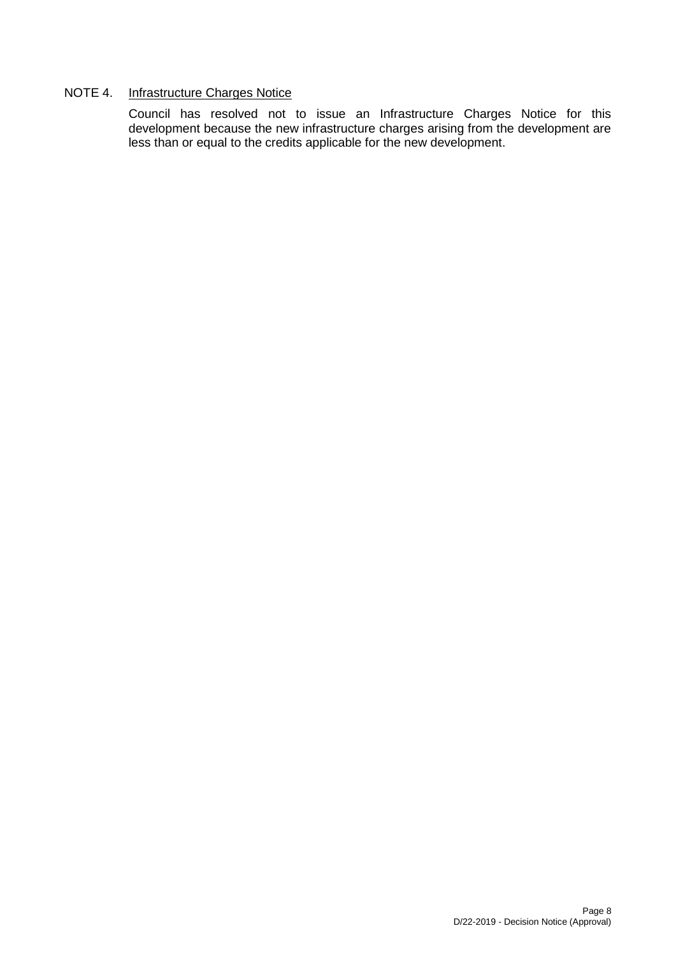## NOTE 4. Infrastructure Charges Notice

Council has resolved not to issue an Infrastructure Charges Notice for this development because the new infrastructure charges arising from the development are less than or equal to the credits applicable for the new development.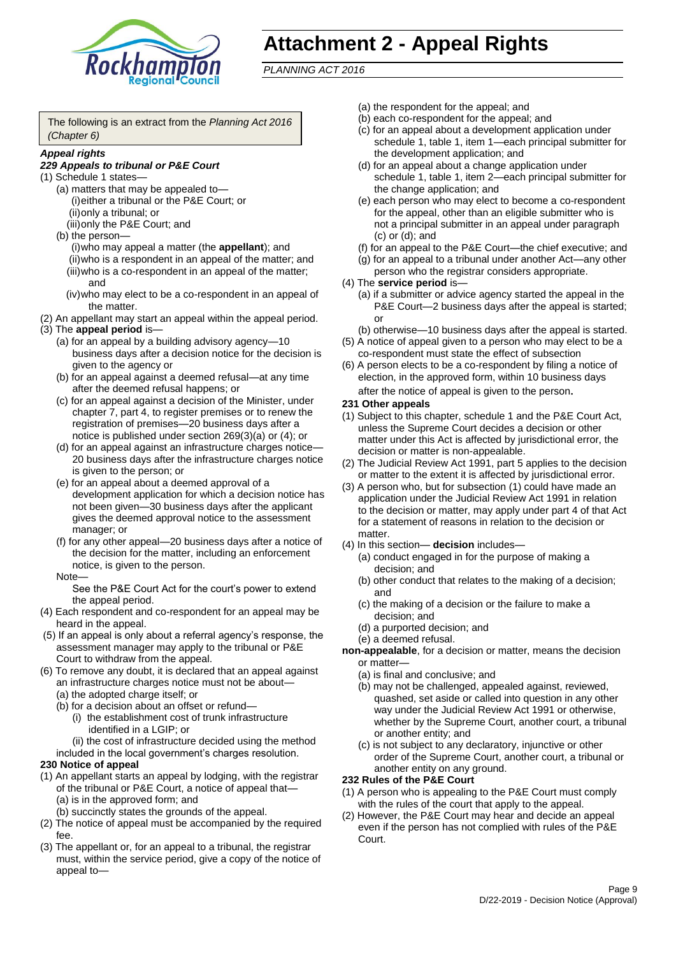

# **Attachment 2 - Appeal Rights**

*PLANNING ACT 2016*

The following is an extract from the *Planning Act 2016 (Chapter 6)*

#### *Appeal rights*

#### *229 Appeals to tribunal or P&E Court*

- (1) Schedule 1 states—
	- (a) matters that may be appealed to— (i)either a tribunal or the P&E Court; or (ii)only a tribunal; or
	- (iii)only the P&E Court; and (b) the person—
		- (i)who may appeal a matter (the **appellant**); and (ii)who is a respondent in an appeal of the matter; and (iii)who is a co-respondent in an appeal of the matter; and
		- (iv)who may elect to be a co-respondent in an appeal of the matter.
- (2) An appellant may start an appeal within the appeal period.
- (3) The **appeal period** is—
	- (a) for an appeal by a building advisory agency—10 business days after a decision notice for the decision is given to the agency or
	- (b) for an appeal against a deemed refusal—at any time after the deemed refusal happens; or
	- (c) for an appeal against a decision of the Minister, under chapter 7, part 4, to register premises or to renew the registration of premises—20 business days after a notice is published under section 269(3)(a) or (4); or
	- (d) for an appeal against an infrastructure charges notice— 20 business days after the infrastructure charges notice is given to the person; or
	- (e) for an appeal about a deemed approval of a development application for which a decision notice has not been given—30 business days after the applicant gives the deemed approval notice to the assessment manager; or
	- (f) for any other appeal—20 business days after a notice of the decision for the matter, including an enforcement notice, is given to the person.

#### Note—

See the P&E Court Act for the court's power to extend the appeal period.

- (4) Each respondent and co-respondent for an appeal may be heard in the appeal.
- (5) If an appeal is only about a referral agency's response, the assessment manager may apply to the tribunal or P&E Court to withdraw from the appeal.
- (6) To remove any doubt, it is declared that an appeal against an infrastructure charges notice must not be about—
	- (a) the adopted charge itself; or
	- (b) for a decision about an offset or refund—
		- (i) the establishment cost of trunk infrastructure identified in a LGIP; or
		- (ii) the cost of infrastructure decided using the method
	- included in the local government's charges resolution.

#### **230 Notice of appeal**

- (1) An appellant starts an appeal by lodging, with the registrar of the tribunal or P&E Court, a notice of appeal that—
	- (a) is in the approved form; and
	- (b) succinctly states the grounds of the appeal.
- (2) The notice of appeal must be accompanied by the required fee.
- (3) The appellant or, for an appeal to a tribunal, the registrar must, within the service period, give a copy of the notice of appeal to—
- (a) the respondent for the appeal; and
- (b) each co-respondent for the appeal; and
- (c) for an appeal about a development application under schedule 1, table 1, item 1—each principal submitter for the development application; and
- (d) for an appeal about a change application under schedule 1, table 1, item 2—each principal submitter for the change application; and
- (e) each person who may elect to become a co-respondent for the appeal, other than an eligible submitter who is not a principal submitter in an appeal under paragraph (c) or (d); and
- (f) for an appeal to the P&E Court—the chief executive; and
- (g) for an appeal to a tribunal under another Act—any other person who the registrar considers appropriate.
- (4) The **service period** is—
	- (a) if a submitter or advice agency started the appeal in the P&E Court—2 business days after the appeal is started; or
	- (b) otherwise—10 business days after the appeal is started.
- (5) A notice of appeal given to a person who may elect to be a co-respondent must state the effect of subsection
- (6) A person elects to be a co-respondent by filing a notice of election, in the approved form, within 10 business days after the notice of appeal is given to the person*.*
- **231 Other appeals**
- (1) Subject to this chapter, schedule 1 and the P&E Court Act, unless the Supreme Court decides a decision or other matter under this Act is affected by jurisdictional error, the decision or matter is non-appealable.
- (2) The Judicial Review Act 1991, part 5 applies to the decision or matter to the extent it is affected by jurisdictional error.
- (3) A person who, but for subsection (1) could have made an application under the Judicial Review Act 1991 in relation to the decision or matter, may apply under part 4 of that Act for a statement of reasons in relation to the decision or matter.
- (4) In this section— **decision** includes—
	- (a) conduct engaged in for the purpose of making a decision; and
	- (b) other conduct that relates to the making of a decision; and
	- (c) the making of a decision or the failure to make a decision; and
	- (d) a purported decision; and
	- (e) a deemed refusal.

**non-appealable**, for a decision or matter, means the decision or matter—

- (a) is final and conclusive; and
- (b) may not be challenged, appealed against, reviewed, quashed, set aside or called into question in any other way under the Judicial Review Act 1991 or otherwise, whether by the Supreme Court, another court, a tribunal or another entity; and
- (c) is not subject to any declaratory, injunctive or other order of the Supreme Court, another court, a tribunal or another entity on any ground.

#### **232 Rules of the P&E Court**

- (1) A person who is appealing to the P&E Court must comply with the rules of the court that apply to the appeal.
- (2) However, the P&E Court may hear and decide an appeal even if the person has not complied with rules of the P&E Court.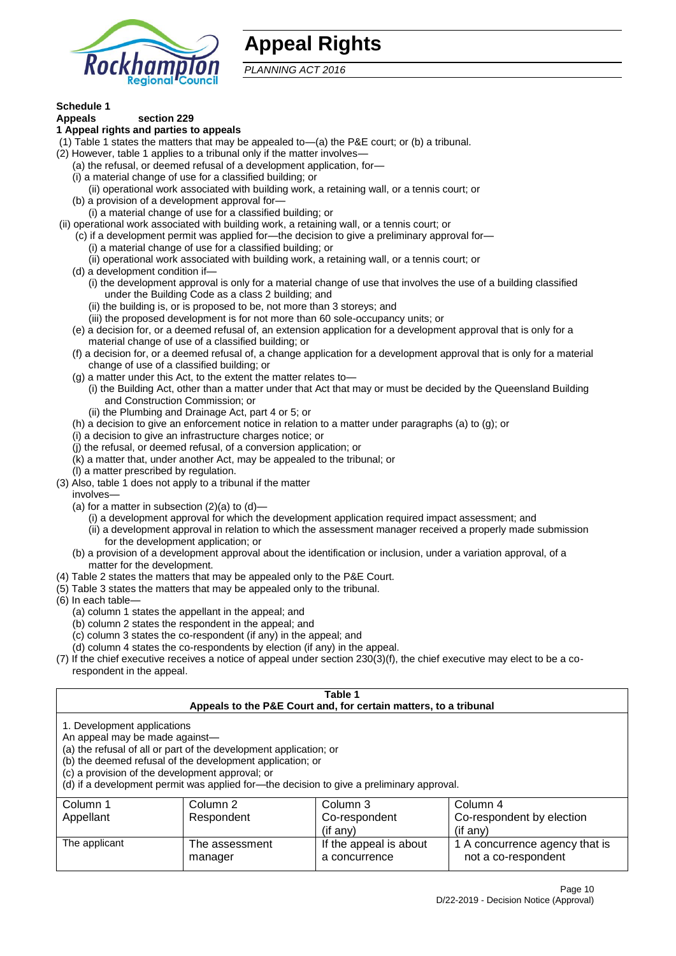

# **Appeal Rights**

*PLANNING ACT 2016*

# **Schedule 1**

#### **Appeals section 229 1 Appeal rights and parties to appeals**

- (1) Table 1 states the matters that may be appealed to—(a) the P&E court; or (b) a tribunal.
- (2) However, table 1 applies to a tribunal only if the matter involves—
	- (a) the refusal, or deemed refusal of a development application, for—
	- (i) a material change of use for a classified building; or
	- (ii) operational work associated with building work, a retaining wall, or a tennis court; or
	- (b) a provision of a development approval for—
	- (i) a material change of use for a classified building; or
- (ii) operational work associated with building work, a retaining wall, or a tennis court; or
	- (c) if a development permit was applied for—the decision to give a preliminary approval for—
		- (i) a material change of use for a classified building; or
	- (ii) operational work associated with building work, a retaining wall, or a tennis court; or
	- (d) a development condition if—
		- (i) the development approval is only for a material change of use that involves the use of a building classified under the Building Code as a class 2 building; and
		- (ii) the building is, or is proposed to be, not more than 3 storeys; and
		- (iii) the proposed development is for not more than 60 sole-occupancy units; or
	- (e) a decision for, or a deemed refusal of, an extension application for a development approval that is only for a material change of use of a classified building; or
	- (f) a decision for, or a deemed refusal of, a change application for a development approval that is only for a material change of use of a classified building; or
	- (g) a matter under this Act, to the extent the matter relates to—
		- (i) the Building Act, other than a matter under that Act that may or must be decided by the Queensland Building and Construction Commission; or
		- (ii) the Plumbing and Drainage Act, part 4 or 5; or
	- (h) a decision to give an enforcement notice in relation to a matter under paragraphs (a) to (g); or
	- (i) a decision to give an infrastructure charges notice; or
	- (j) the refusal, or deemed refusal, of a conversion application; or
	- (k) a matter that, under another Act, may be appealed to the tribunal; or
	- (l) a matter prescribed by regulation.
- (3) Also, table 1 does not apply to a tribunal if the matter

involves—

- (a) for a matter in subsection  $(2)(a)$  to  $(d)$ 
	- (i) a development approval for which the development application required impact assessment; and
	- (ii) a development approval in relation to which the assessment manager received a properly made submission for the development application; or
- (b) a provision of a development approval about the identification or inclusion, under a variation approval, of a matter for the development.
- (4) Table 2 states the matters that may be appealed only to the P&E Court.
- (5) Table 3 states the matters that may be appealed only to the tribunal.
- (6) In each table—
	- (a) column 1 states the appellant in the appeal; and
	- (b) column 2 states the respondent in the appeal; and
	- (c) column 3 states the co-respondent (if any) in the appeal; and
	- (d) column 4 states the co-respondents by election (if any) in the appeal.
- (7) If the chief executive receives a notice of appeal under section 230(3)(f), the chief executive may elect to be a corespondent in the appeal.

| Table 1<br>Appeals to the P&E Court and, for certain matters, to a tribunal                                                                                                                                                                                                                                                                    |                           |                                         |                                                       |
|------------------------------------------------------------------------------------------------------------------------------------------------------------------------------------------------------------------------------------------------------------------------------------------------------------------------------------------------|---------------------------|-----------------------------------------|-------------------------------------------------------|
| 1. Development applications<br>An appeal may be made against-<br>(a) the refusal of all or part of the development application; or<br>(b) the deemed refusal of the development application; or<br>(c) a provision of the development approval; or<br>(d) if a development permit was applied for-the decision to give a preliminary approval. |                           |                                         |                                                       |
| Column 3<br>Column 1<br>Column 2<br>Column 4<br>Co-respondent by election<br>Appellant<br>Respondent<br>Co-respondent<br>(if any)<br>$($ if any $)$                                                                                                                                                                                            |                           |                                         |                                                       |
| The applicant                                                                                                                                                                                                                                                                                                                                  | The assessment<br>manager | If the appeal is about<br>a concurrence | 1 A concurrence agency that is<br>not a co-respondent |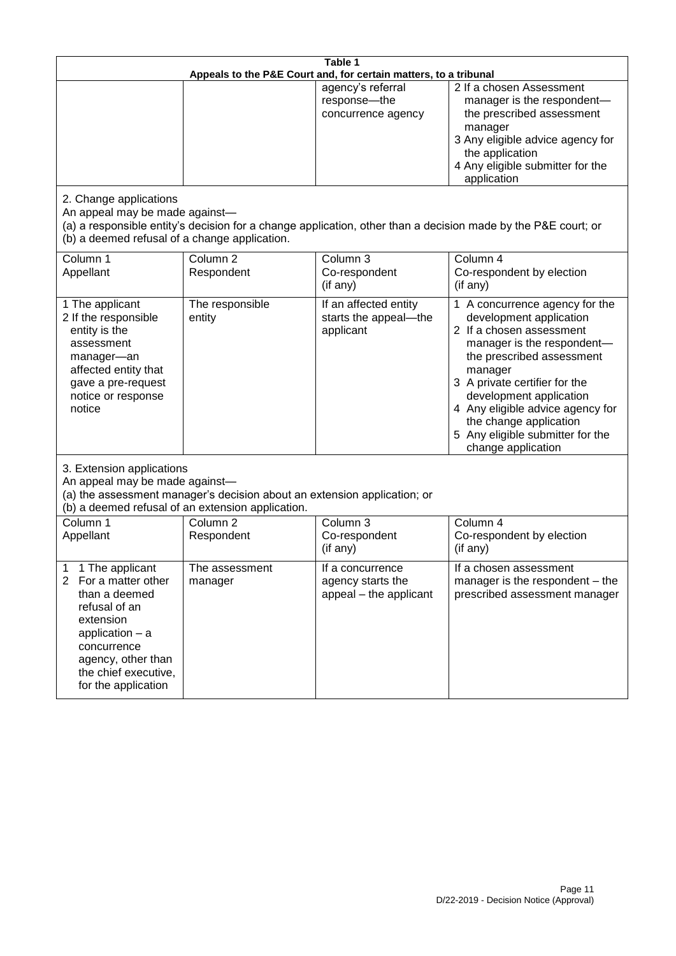| Table 1<br>Appeals to the P&E Court and, for certain matters, to a tribunal                                                                                                                                          |                                                                                                                                                                                              |                                                                 |                                                                                                                                                                                                                                                                                                                                                 |  |
|----------------------------------------------------------------------------------------------------------------------------------------------------------------------------------------------------------------------|----------------------------------------------------------------------------------------------------------------------------------------------------------------------------------------------|-----------------------------------------------------------------|-------------------------------------------------------------------------------------------------------------------------------------------------------------------------------------------------------------------------------------------------------------------------------------------------------------------------------------------------|--|
|                                                                                                                                                                                                                      |                                                                                                                                                                                              | agency's referral<br>response-the<br>concurrence agency         | 2 If a chosen Assessment<br>manager is the respondent-<br>the prescribed assessment<br>manager<br>3 Any eligible advice agency for<br>the application<br>4 Any eligible submitter for the<br>application                                                                                                                                        |  |
| 2. Change applications<br>An appeal may be made against-<br>(b) a deemed refusal of a change application.                                                                                                            |                                                                                                                                                                                              |                                                                 | (a) a responsible entity's decision for a change application, other than a decision made by the P&E court; or                                                                                                                                                                                                                                   |  |
| Column 1<br>Appellant                                                                                                                                                                                                | Column <sub>2</sub><br>Respondent                                                                                                                                                            | Column 3<br>Co-respondent<br>(if any)                           | Column 4<br>Co-respondent by election<br>(if any)                                                                                                                                                                                                                                                                                               |  |
| 1 The applicant<br>2 If the responsible<br>entity is the<br>assessment<br>manager-an<br>affected entity that<br>gave a pre-request<br>notice or response<br>notice                                                   | The responsible<br>entity                                                                                                                                                                    | If an affected entity<br>starts the appeal-the<br>applicant     | 1 A concurrence agency for the<br>development application<br>2 If a chosen assessment<br>manager is the respondent-<br>the prescribed assessment<br>manager<br>3 A private certifier for the<br>development application<br>4 Any eligible advice agency for<br>the change application<br>5 Any eligible submitter for the<br>change application |  |
|                                                                                                                                                                                                                      | 3. Extension applications<br>An appeal may be made against-<br>(a) the assessment manager's decision about an extension application; or<br>(b) a deemed refusal of an extension application. |                                                                 |                                                                                                                                                                                                                                                                                                                                                 |  |
| Column 1<br>Appellant                                                                                                                                                                                                | Column <sub>2</sub><br>Respondent                                                                                                                                                            | Column 3<br>Co-respondent<br>(if any)                           | Column 4<br>Co-respondent by election<br>(if any)                                                                                                                                                                                                                                                                                               |  |
| 1 The applicant<br>1<br>$\overline{2}$<br>For a matter other<br>than a deemed<br>refusal of an<br>extension<br>application $-$ a<br>concurrence<br>agency, other than<br>the chief executive,<br>for the application | The assessment<br>manager                                                                                                                                                                    | If a concurrence<br>agency starts the<br>appeal - the applicant | If a chosen assessment<br>manager is the respondent - the<br>prescribed assessment manager                                                                                                                                                                                                                                                      |  |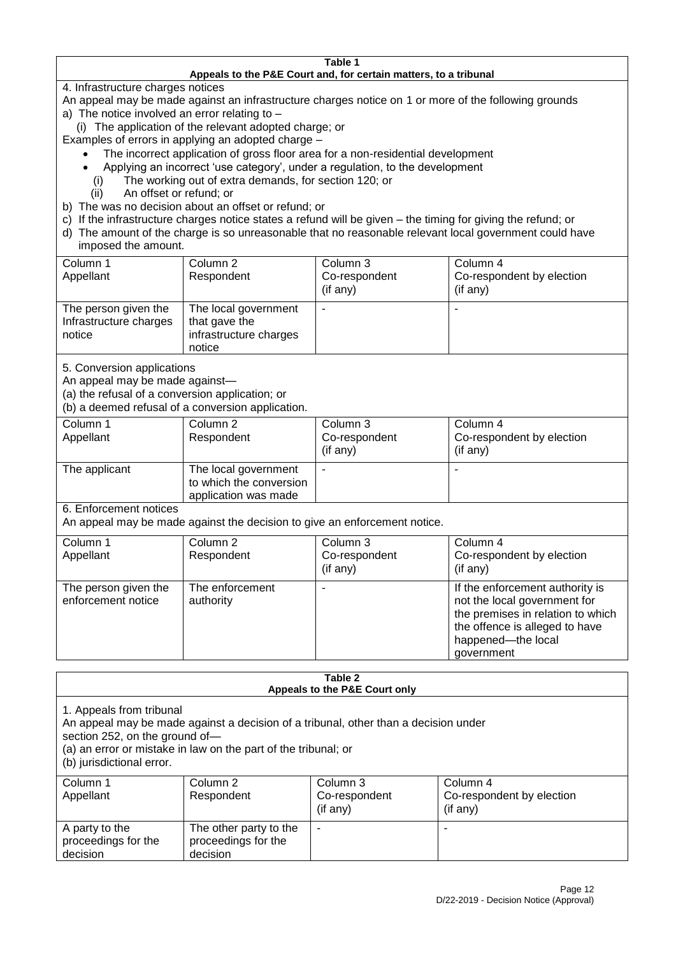#### **Table 1 Appeals to the P&E Court and, for certain matters, to a tribunal**

4. Infrastructure charges notices

- An appeal may be made against an infrastructure charges notice on 1 or more of the following grounds
- a) The notice involved an error relating to
	- (i) The application of the relevant adopted charge; or
- Examples of errors in applying an adopted charge
	- The incorrect application of gross floor area for a non-residential development
	- Applying an incorrect 'use category', under a regulation, to the development
	- (i) The working out of extra demands, for section 120; or
	- (ii) An offset or refund; or
- b) The was no decision about an offset or refund; or
- c) If the infrastructure charges notice states a refund will be given the timing for giving the refund; or
- d) The amount of the charge is so unreasonable that no reasonable relevant local government could have
- imposed the amount.

| Column 1                                                 | Column 2                                                                  | Column 3      | Column 4                  |
|----------------------------------------------------------|---------------------------------------------------------------------------|---------------|---------------------------|
| Appellant                                                | Respondent                                                                | Co-respondent | Co-respondent by election |
|                                                          |                                                                           | (if any)      | (if any)                  |
| The person given the<br>Infrastructure charges<br>notice | The local government<br>that gave the<br>infrastructure charges<br>notice | -             |                           |

5. Conversion applications

An appeal may be made against—

(a) the refusal of a conversion application; or

(b) a deemed refusal of a conversion application.

| Column 1<br>Appellant | Column 2<br>Respondent                                                  | Column 3<br>Co-respondent<br>$($ if any $)$ | Column 4<br>Co-respondent by election<br>(if any) |
|-----------------------|-------------------------------------------------------------------------|---------------------------------------------|---------------------------------------------------|
|                       |                                                                         |                                             |                                                   |
| The applicant         | The local government<br>to which the conversion<br>application was made |                                             |                                                   |

6. Enforcement notices

An appeal may be made against the decision to give an enforcement notice.

| Column 1                                   | Column 2                     | Column 3      | Column 4                                                                                                                                                                   |
|--------------------------------------------|------------------------------|---------------|----------------------------------------------------------------------------------------------------------------------------------------------------------------------------|
| Appellant                                  | Respondent                   | Co-respondent | Co-respondent by election                                                                                                                                                  |
|                                            |                              | (if any)      | (if any)                                                                                                                                                                   |
| The person given the<br>enforcement notice | The enforcement<br>authority |               | If the enforcement authority is<br>not the local government for<br>the premises in relation to which<br>the offence is alleged to have<br>happened-the local<br>government |

#### **Table 2 Appeals to the P&E Court only**

1. Appeals from tribunal

An appeal may be made against a decision of a tribunal, other than a decision under

section 252, on the ground of—

(a) an error or mistake in law on the part of the tribunal; or

(b) jurisdictional error.

| Column 1<br>Appellant                             | Column 2<br>Respondent                                    | Column 3<br>Co-respondent<br>$($ if any $)$ | Column 4<br>Co-respondent by election<br>$($ if any $)$ |
|---------------------------------------------------|-----------------------------------------------------------|---------------------------------------------|---------------------------------------------------------|
| A party to the<br>proceedings for the<br>decision | The other party to the<br>proceedings for the<br>decision | $\overline{\phantom{a}}$                    |                                                         |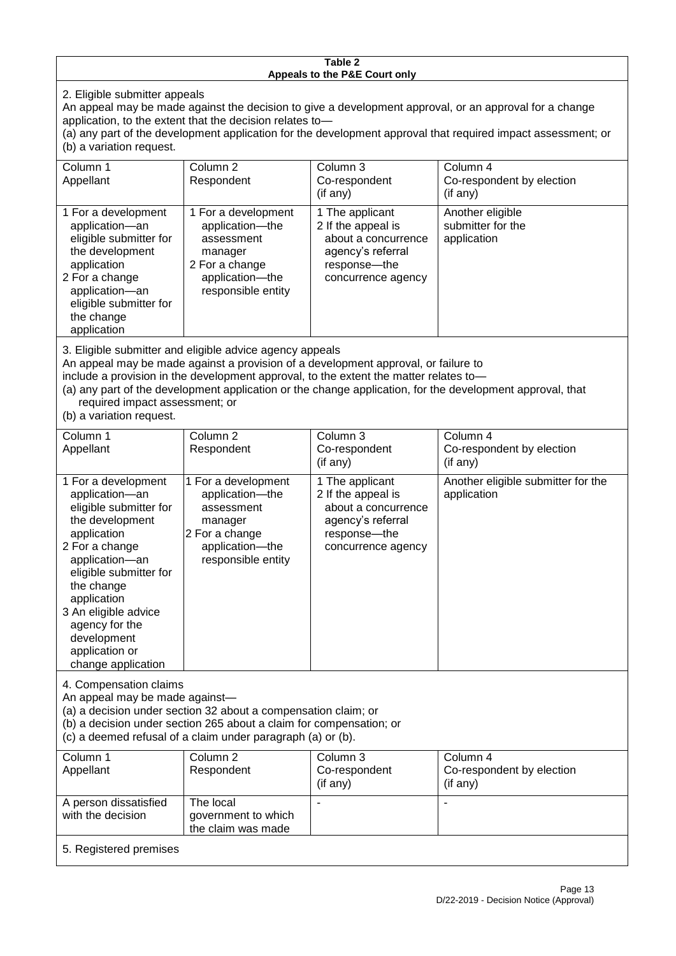#### **Table 2 Appeals to the P&E Court only**

2. Eligible submitter appeals

An appeal may be made against the decision to give a development approval, or an approval for a change application, to the extent that the decision relates to—

(a) any part of the development application for the development approval that required impact assessment; or (b) a variation request.

| Column 1                                                                                                                                                                                     | Column 2                                                                                                                      | Column 3                                                                                                                  | Column 4                                             |  |
|----------------------------------------------------------------------------------------------------------------------------------------------------------------------------------------------|-------------------------------------------------------------------------------------------------------------------------------|---------------------------------------------------------------------------------------------------------------------------|------------------------------------------------------|--|
| Appellant                                                                                                                                                                                    | Respondent                                                                                                                    | Co-respondent                                                                                                             | Co-respondent by election                            |  |
|                                                                                                                                                                                              |                                                                                                                               | (i f an y)                                                                                                                | $($ if any $)$                                       |  |
| 1 For a development<br>application-an<br>eligible submitter for<br>the development<br>application<br>2 For a change<br>application-an<br>eligible submitter for<br>the change<br>application | 1 For a development<br>application----the<br>assessment<br>manager<br>2 For a change<br>application-the<br>responsible entity | 1 The applicant<br>2 If the appeal is<br>about a concurrence<br>agency's referral<br>response---the<br>concurrence agency | Another eligible<br>submitter for the<br>application |  |
| 3. Eligible submitter and eligible advice agency appeals                                                                                                                                     |                                                                                                                               |                                                                                                                           |                                                      |  |

An appeal may be made against a provision of a development approval, or failure to

include a provision in the development approval, to the extent the matter relates to—

(a) any part of the development application or the change application, for the development approval, that required impact assessment; or

(b) a variation request.

with the decision

| Column 1                                                                                                                                                                                                                                                                                      | Column <sub>2</sub>                                                                                                                                                                                  | Column 3                                                                                                                | Column 4                                          |
|-----------------------------------------------------------------------------------------------------------------------------------------------------------------------------------------------------------------------------------------------------------------------------------------------|------------------------------------------------------------------------------------------------------------------------------------------------------------------------------------------------------|-------------------------------------------------------------------------------------------------------------------------|---------------------------------------------------|
| Appellant                                                                                                                                                                                                                                                                                     | Respondent                                                                                                                                                                                           | Co-respondent                                                                                                           | Co-respondent by election                         |
|                                                                                                                                                                                                                                                                                               |                                                                                                                                                                                                      | $($ if any $)$                                                                                                          | (if any)                                          |
| 1 For a development<br>application-an<br>eligible submitter for<br>the development<br>application<br>2 For a change<br>application-an<br>eligible submitter for<br>the change<br>application<br>3 An eligible advice<br>agency for the<br>development<br>application or<br>change application | 1 For a development<br>application-the<br>assessment<br>manager<br>2 For a change<br>application-the<br>responsible entity                                                                           | 1 The applicant<br>2 If the appeal is<br>about a concurrence<br>agency's referral<br>response-the<br>concurrence agency | Another eligible submitter for the<br>application |
| 4. Compensation claims<br>An appeal may be made against-                                                                                                                                                                                                                                      | (a) a decision under section 32 about a compensation claim; or<br>(b) a decision under section 265 about a claim for compensation; or<br>(c) a deemed refusal of a claim under paragraph (a) or (b). |                                                                                                                         |                                                   |
| Column <sub>1</sub>                                                                                                                                                                                                                                                                           | Column $\overline{2}$                                                                                                                                                                                | Column <sub>3</sub>                                                                                                     | Column <sub>4</sub>                               |
| Appellant                                                                                                                                                                                                                                                                                     | Respondent                                                                                                                                                                                           | Co-respondent                                                                                                           | Co-respondent by election                         |
|                                                                                                                                                                                                                                                                                               |                                                                                                                                                                                                      | (if any)                                                                                                                | (if any)                                          |
| A person dissatisfied                                                                                                                                                                                                                                                                         | The local                                                                                                                                                                                            |                                                                                                                         |                                                   |

government to which the claim was made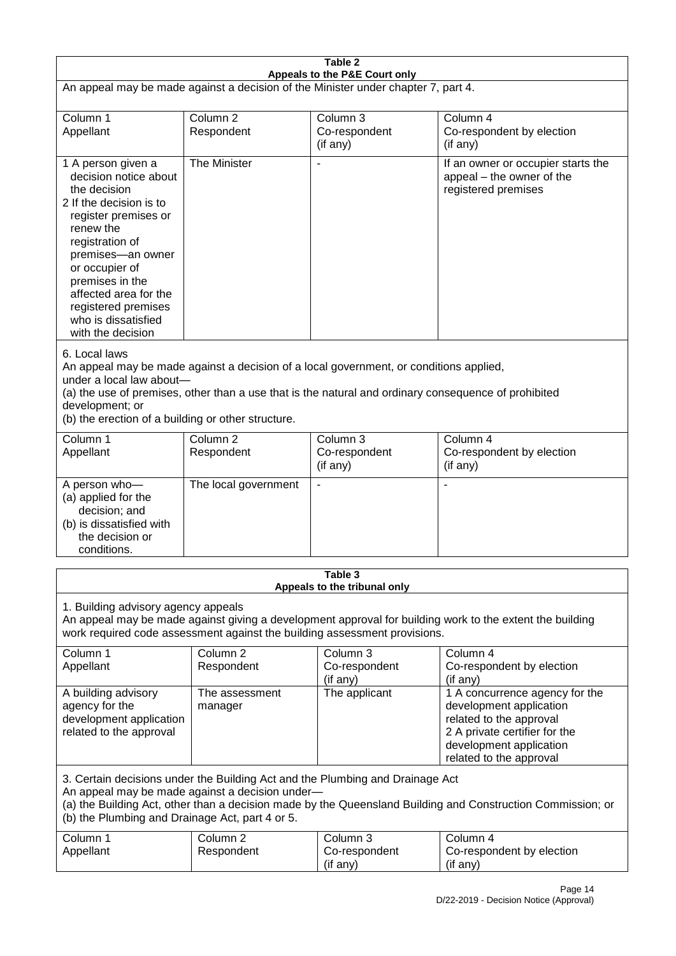| Table 2                                                                                                                                                                                                                                                                                              |                                                                                                                                                                                                                                                                                  |                                                                           |                                                                                                                                                                             |  |
|------------------------------------------------------------------------------------------------------------------------------------------------------------------------------------------------------------------------------------------------------------------------------------------------------|----------------------------------------------------------------------------------------------------------------------------------------------------------------------------------------------------------------------------------------------------------------------------------|---------------------------------------------------------------------------|-----------------------------------------------------------------------------------------------------------------------------------------------------------------------------|--|
| Appeals to the P&E Court only<br>An appeal may be made against a decision of the Minister under chapter 7, part 4.                                                                                                                                                                                   |                                                                                                                                                                                                                                                                                  |                                                                           |                                                                                                                                                                             |  |
| Column 1<br>Appellant                                                                                                                                                                                                                                                                                | Column <sub>2</sub><br>Respondent                                                                                                                                                                                                                                                | Column 3<br>Co-respondent<br>(if any)                                     | Column 4<br>Co-respondent by election<br>(if any)                                                                                                                           |  |
| 1 A person given a<br>decision notice about<br>the decision<br>2 If the decision is to<br>register premises or<br>renew the<br>registration of<br>premises-an owner<br>or occupier of<br>premises in the<br>affected area for the<br>registered premises<br>who is dissatisfied<br>with the decision | The Minister                                                                                                                                                                                                                                                                     | $\blacksquare$                                                            | If an owner or occupier starts the<br>appeal - the owner of the<br>registered premises                                                                                      |  |
| 6. Local laws<br>development; or                                                                                                                                                                                                                                                                     | An appeal may be made against a decision of a local government, or conditions applied,<br>under a local law about-<br>(a) the use of premises, other than a use that is the natural and ordinary consequence of prohibited<br>(b) the erection of a building or other structure. |                                                                           |                                                                                                                                                                             |  |
| Column 1<br>Appellant                                                                                                                                                                                                                                                                                | Column <sub>2</sub><br>Respondent                                                                                                                                                                                                                                                | Column <sub>3</sub><br>Co-respondent<br>(if any)                          | Column 4<br>Co-respondent by election<br>(if any)                                                                                                                           |  |
| A person who-<br>(a) applied for the<br>decision; and<br>(b) is dissatisfied with<br>the decision or<br>conditions.                                                                                                                                                                                  | The local government                                                                                                                                                                                                                                                             | $\overline{\phantom{a}}$                                                  |                                                                                                                                                                             |  |
|                                                                                                                                                                                                                                                                                                      |                                                                                                                                                                                                                                                                                  | Table 3<br>Appeals to the tribunal only                                   |                                                                                                                                                                             |  |
| 1. Building advisory agency appeals                                                                                                                                                                                                                                                                  |                                                                                                                                                                                                                                                                                  | work required code assessment against the building assessment provisions. | An appeal may be made against giving a development approval for building work to the extent the building                                                                    |  |
| Column 1<br>Appellant                                                                                                                                                                                                                                                                                | Column <sub>2</sub><br>Respondent                                                                                                                                                                                                                                                | Column 3<br>Co-respondent<br>(if any)                                     | Column 4<br>Co-respondent by election<br>(if any)                                                                                                                           |  |
| A building advisory<br>agency for the<br>development application<br>related to the approval                                                                                                                                                                                                          | The assessment<br>manager                                                                                                                                                                                                                                                        | The applicant                                                             | 1 A concurrence agency for the<br>development application<br>related to the approval<br>2 A private certifier for the<br>development application<br>related to the approval |  |
| 3. Certain decisions under the Building Act and the Plumbing and Drainage Act<br>An appeal may be made against a decision under-<br>(a) the Building Act, other than a decision made by the Queensland Building and Construction Commission; or<br>(b) the Plumbing and Drainage Act, part 4 or 5.   |                                                                                                                                                                                                                                                                                  |                                                                           |                                                                                                                                                                             |  |
| Column 1<br>Appellant                                                                                                                                                                                                                                                                                | Column <sub>2</sub><br>Respondent                                                                                                                                                                                                                                                | Column 3<br>Co-respondent<br>(if any)                                     | Column 4<br>Co-respondent by election<br>(if any)                                                                                                                           |  |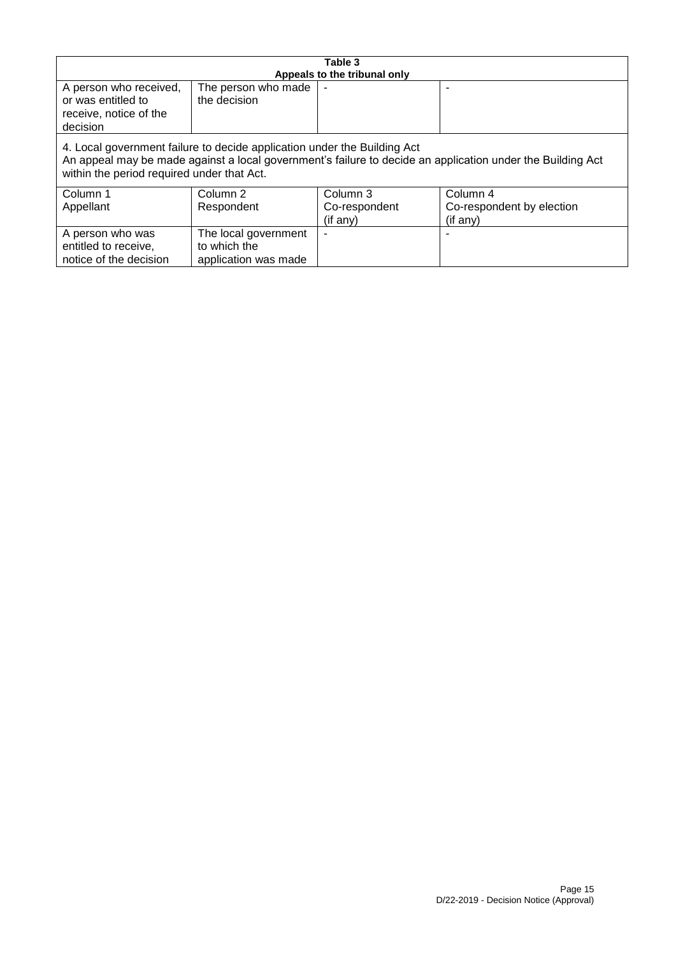| Table 3                                                                                                                                                                                                                              |                                                              |                              |                           |
|--------------------------------------------------------------------------------------------------------------------------------------------------------------------------------------------------------------------------------------|--------------------------------------------------------------|------------------------------|---------------------------|
|                                                                                                                                                                                                                                      |                                                              | Appeals to the tribunal only |                           |
| A person who received,<br>or was entitled to<br>receive, notice of the<br>decision                                                                                                                                                   | The person who made<br>the decision                          |                              |                           |
| 4. Local government failure to decide application under the Building Act<br>An appeal may be made against a local government's failure to decide an application under the Building Act<br>within the period required under that Act. |                                                              |                              |                           |
| Column 1                                                                                                                                                                                                                             | Column 2                                                     | Column 3                     | Column 4                  |
| Appellant                                                                                                                                                                                                                            | Respondent                                                   | Co-respondent                | Co-respondent by election |
|                                                                                                                                                                                                                                      |                                                              | (if any)                     | (if any)                  |
| A person who was<br>entitled to receive,<br>notice of the decision                                                                                                                                                                   | The local government<br>to which the<br>application was made |                              |                           |